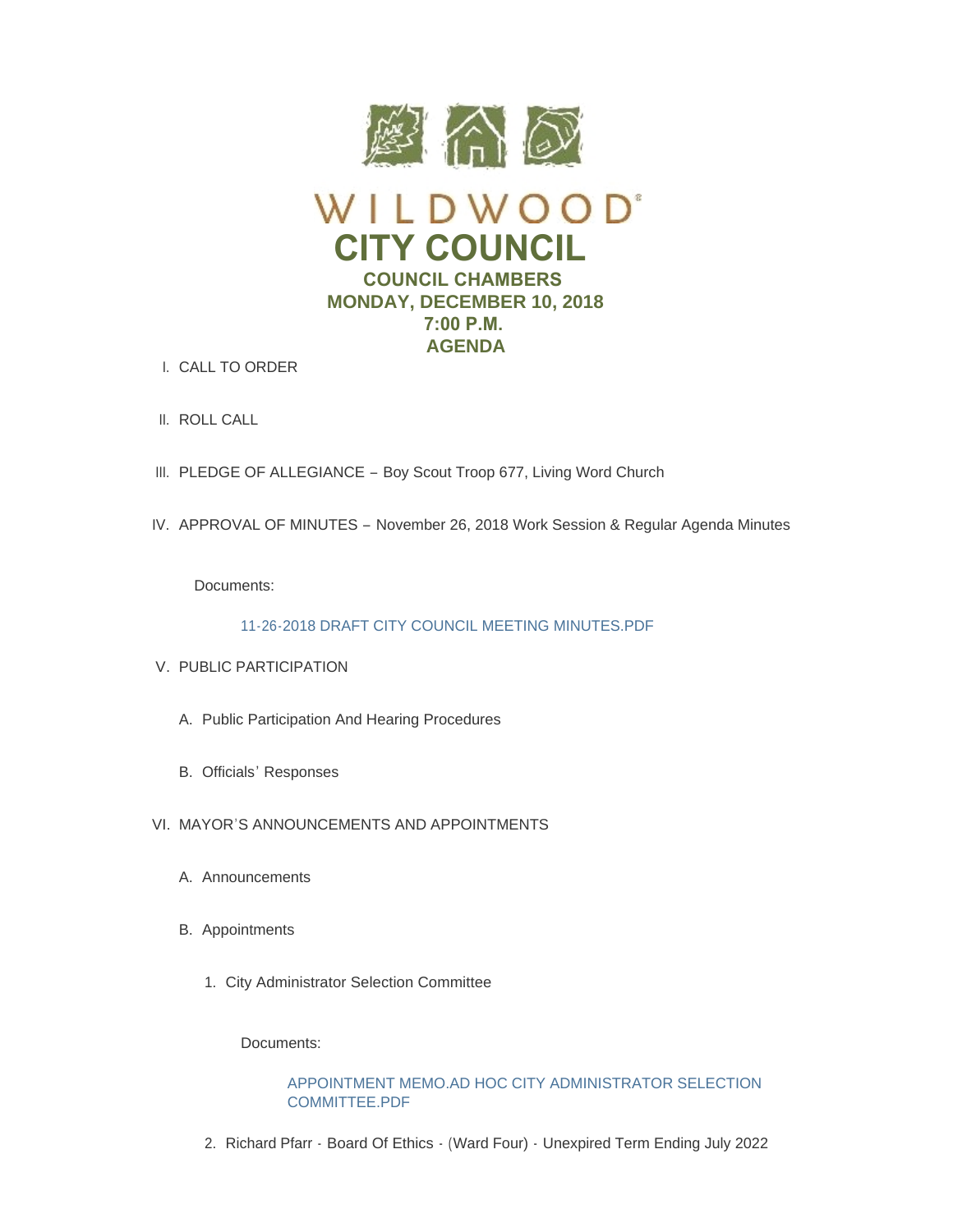

- CALL TO ORDER I.
- II. ROLL CALL
- III. PLEDGE OF ALLEGIANCE Boy Scout Troop 677, Living Word Church
- IV. APPROVAL OF MINUTES November 26, 2018 Work Session & Regular Agenda Minutes

Documents:

[11-26-2018 DRAFT CITY COUNCIL MEETING MINUTES.PDF](https://www.cityofwildwood.com/AgendaCenter/ViewFile/Item/18193?fileID=25129)

- V. PUBLIC PARTICIPATION
	- A. Public Participation And Hearing Procedures
	- B. Officials' Responses
- VI. MAYOR'S ANNOUNCEMENTS AND APPOINTMENTS
	- A. Announcements
	- B. Appointments
		- 1. City Administrator Selection Committee

Documents:

# [APPOINTMENT MEMO.AD HOC CITY ADMINISTRATOR SELECTION](https://www.cityofwildwood.com/AgendaCenter/ViewFile/Item/18200?fileID=25182)  COMMITTEE PDF

2. Richard Pfarr - Board Of Ethics - (Ward Four) - Unexpired Term Ending July 2022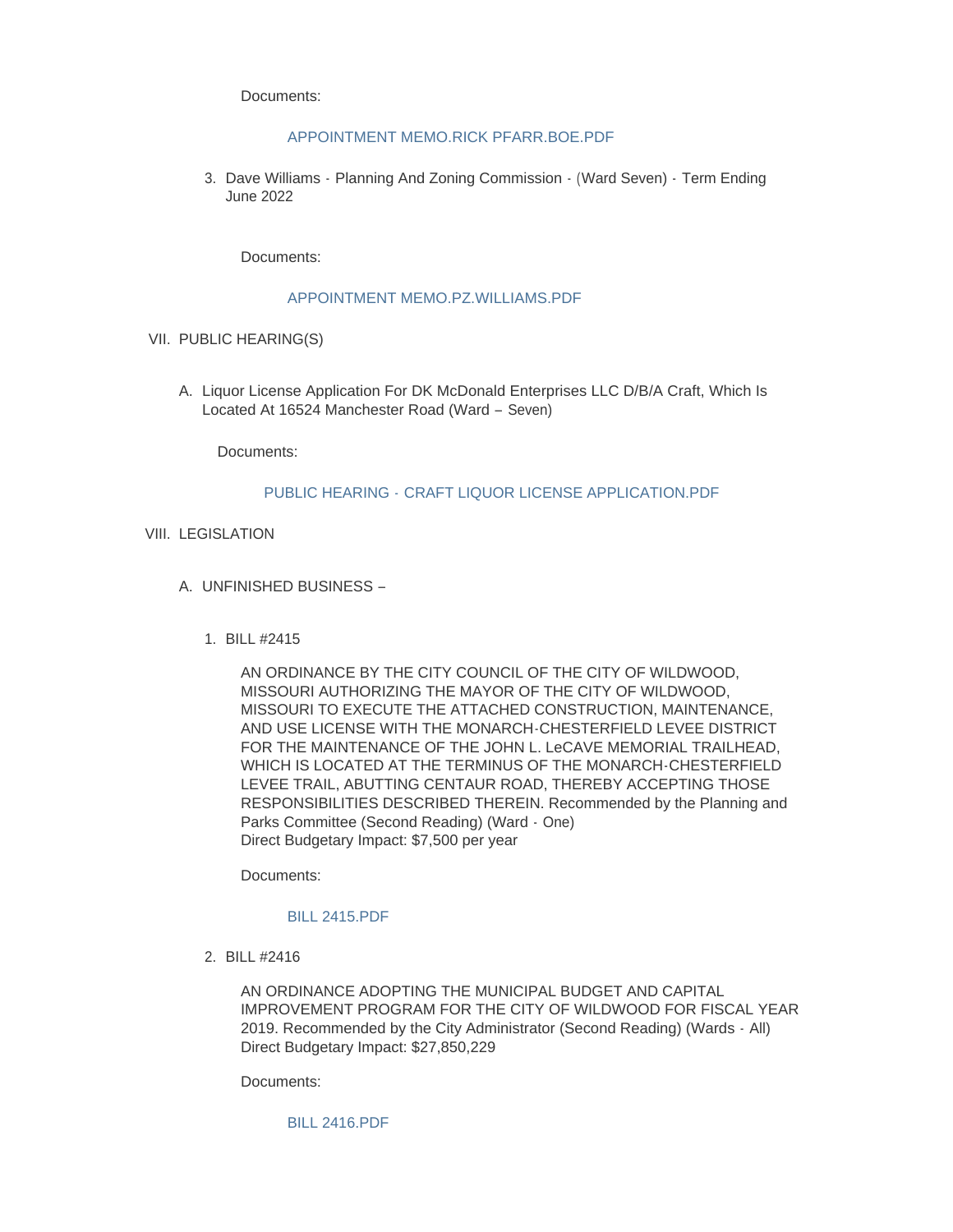Documents:

# [APPOINTMENT MEMO.RICK PFARR.BOE.PDF](https://www.cityofwildwood.com/AgendaCenter/ViewFile/Item/18201?fileID=25184)

3. Dave Williams - Planning And Zoning Commission - (Ward Seven) - Term Ending June 2022

Documents:

## [APPOINTMENT MEMO.PZ.WILLIAMS.PDF](https://www.cityofwildwood.com/AgendaCenter/ViewFile/Item/18202?fileID=25183)

- VII. PUBLIC HEARING(S)
	- A. Liquor License Application For DK McDonald Enterprises LLC D/B/A Craft, Which Is Located At 16524 Manchester Road (Ward – Seven)

Documents:

## PUBLIC HEARING - [CRAFT LIQUOR LICENSE APPLICATION.PDF](https://www.cityofwildwood.com/AgendaCenter/ViewFile/Item/18297?fileID=25180)

- VIII. LEGISLATION
	- UNFINISHED BUSINESS A.
		- BILL #2415 1.

AN ORDINANCE BY THE CITY COUNCIL OF THE CITY OF WILDWOOD, MISSOURI AUTHORIZING THE MAYOR OF THE CITY OF WILDWOOD, MISSOURI TO EXECUTE THE ATTACHED CONSTRUCTION, MAINTENANCE, AND USE LICENSE WITH THE MONARCH-CHESTERFIELD LEVEE DISTRICT FOR THE MAINTENANCE OF THE JOHN L. LeCAVE MEMORIAL TRAILHEAD, WHICH IS LOCATED AT THE TERMINUS OF THE MONARCH-CHESTERFIELD LEVEE TRAIL, ABUTTING CENTAUR ROAD, THEREBY ACCEPTING THOSE RESPONSIBILITIES DESCRIBED THEREIN. Recommended by the Planning and Parks Committee (Second Reading) (Ward - One) Direct Budgetary Impact: \$7,500 per year

Documents:

## [BILL 2415.PDF](https://www.cityofwildwood.com/AgendaCenter/ViewFile/Item/18207?fileID=25130)

BILL #2416 2.

AN ORDINANCE ADOPTING THE MUNICIPAL BUDGET AND CAPITAL IMPROVEMENT PROGRAM FOR THE CITY OF WILDWOOD FOR FISCAL YEAR 2019. Recommended by the City Administrator (Second Reading) (Wards - All) Direct Budgetary Impact: \$27,850,229

Documents:

[BILL 2416.PDF](https://www.cityofwildwood.com/AgendaCenter/ViewFile/Item/18208?fileID=25131)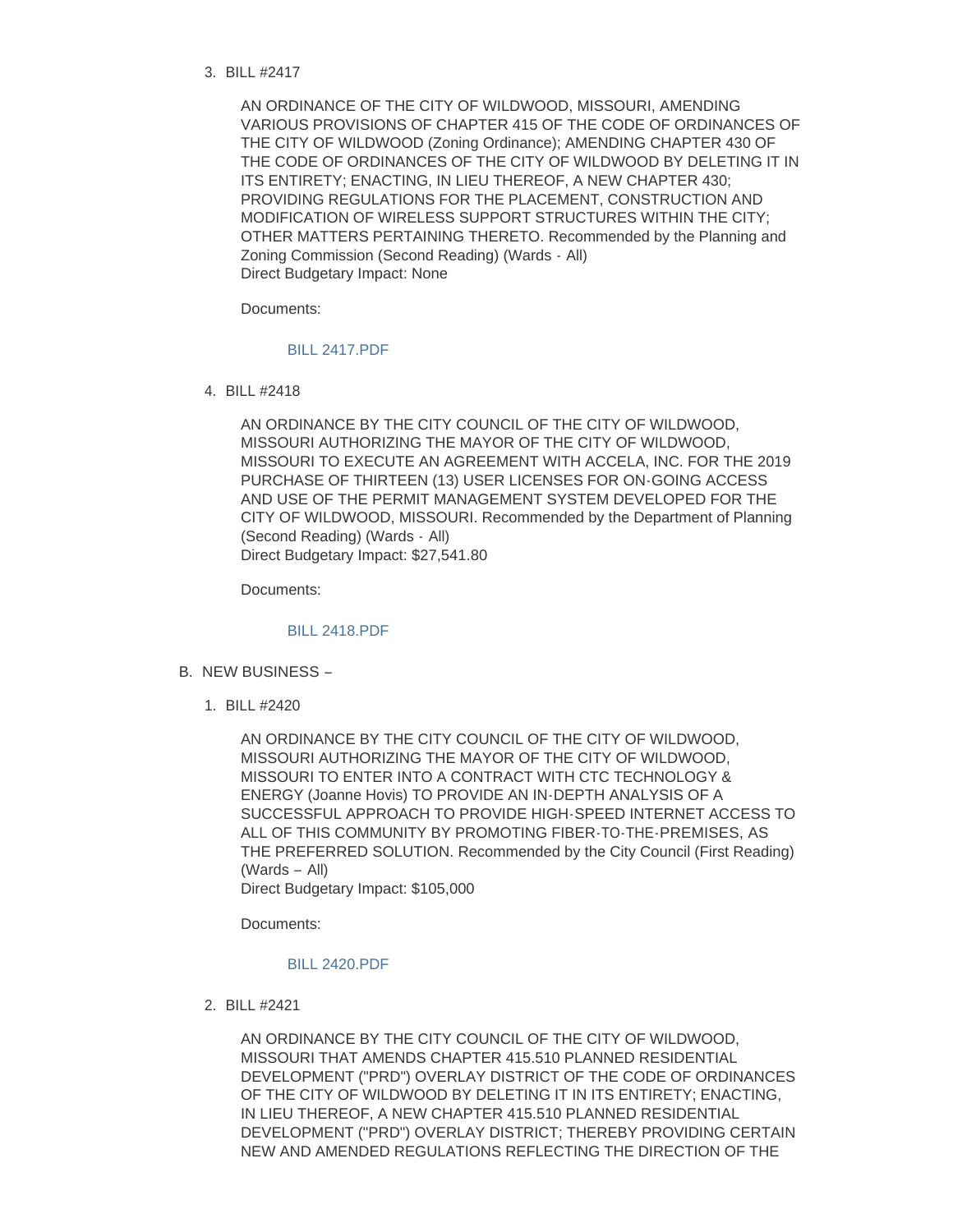BILL #2417 3.

AN ORDINANCE OF THE CITY OF WILDWOOD, MISSOURI, AMENDING VARIOUS PROVISIONS OF CHAPTER 415 OF THE CODE OF ORDINANCES OF THE CITY OF WILDWOOD (Zoning Ordinance); AMENDING CHAPTER 430 OF THE CODE OF ORDINANCES OF THE CITY OF WILDWOOD BY DELETING IT IN ITS ENTIRETY; ENACTING, IN LIEU THEREOF, A NEW CHAPTER 430; PROVIDING REGULATIONS FOR THE PLACEMENT, CONSTRUCTION AND MODIFICATION OF WIRELESS SUPPORT STRUCTURES WITHIN THE CITY; OTHER MATTERS PERTAINING THERETO. Recommended by the Planning and Zoning Commission (Second Reading) (Wards - All) Direct Budgetary Impact: None

Documents:

## [BILL 2417.PDF](https://www.cityofwildwood.com/AgendaCenter/ViewFile/Item/18209?fileID=25132)

BILL #2418 4.

AN ORDINANCE BY THE CITY COUNCIL OF THE CITY OF WILDWOOD, MISSOURI AUTHORIZING THE MAYOR OF THE CITY OF WILDWOOD, MISSOURI TO EXECUTE AN AGREEMENT WITH ACCELA, INC. FOR THE 2019 PURCHASE OF THIRTEEN (13) USER LICENSES FOR ON-GOING ACCESS AND USE OF THE PERMIT MANAGEMENT SYSTEM DEVELOPED FOR THE CITY OF WILDWOOD, MISSOURI. Recommended by the Department of Planning (Second Reading) (Wards - All) Direct Budgetary Impact: \$27,541.80

Documents:

# [BILL 2418.PDF](https://www.cityofwildwood.com/AgendaCenter/ViewFile/Item/18210?fileID=25133)

- B. NEW BUSINESS
	- BILL #2420 1.

AN ORDINANCE BY THE CITY COUNCIL OF THE CITY OF WILDWOOD, MISSOURI AUTHORIZING THE MAYOR OF THE CITY OF WILDWOOD, MISSOURI TO ENTER INTO A CONTRACT WITH CTC TECHNOLOGY & ENERGY (Joanne Hovis) TO PROVIDE AN IN-DEPTH ANALYSIS OF A SUCCESSFUL APPROACH TO PROVIDE HIGH-SPEED INTERNET ACCESS TO ALL OF THIS COMMUNITY BY PROMOTING FIBER-TO-THE-PREMISES, AS THE PREFERRED SOLUTION. Recommended by the City Council (First Reading) (Wards – All)

Direct Budgetary Impact: \$105,000

Documents:

#### [BILL 2420.PDF](https://www.cityofwildwood.com/AgendaCenter/ViewFile/Item/18212?fileID=25134)

BILL #2421 2.

AN ORDINANCE BY THE CITY COUNCIL OF THE CITY OF WILDWOOD, MISSOURI THAT AMENDS CHAPTER 415.510 PLANNED RESIDENTIAL DEVELOPMENT ("PRD") OVERLAY DISTRICT OF THE CODE OF ORDINANCES OF THE CITY OF WILDWOOD BY DELETING IT IN ITS ENTIRETY; ENACTING, IN LIEU THEREOF, A NEW CHAPTER 415.510 PLANNED RESIDENTIAL DEVELOPMENT ("PRD") OVERLAY DISTRICT; THEREBY PROVIDING CERTAIN NEW AND AMENDED REGULATIONS REFLECTING THE DIRECTION OF THE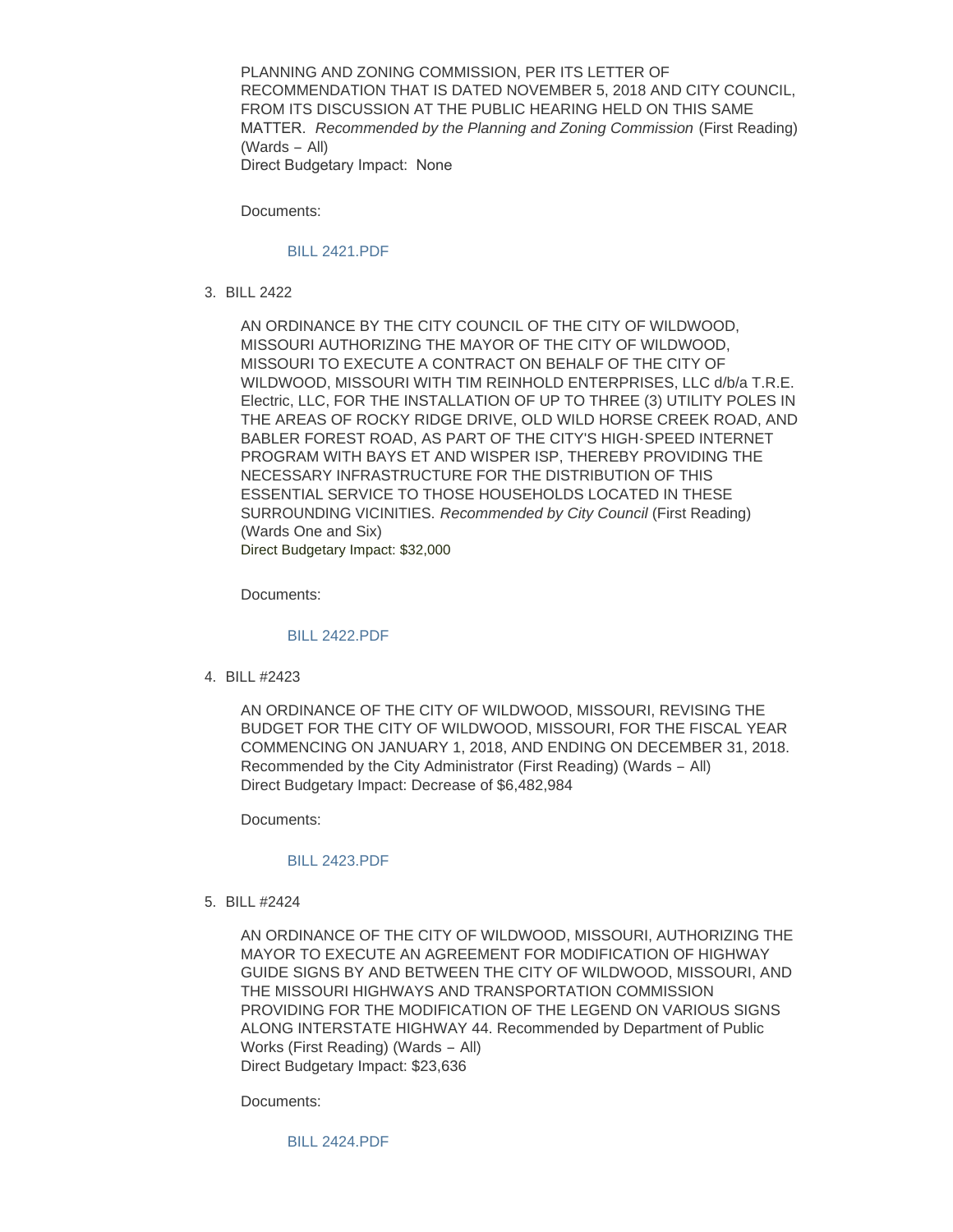PLANNING AND ZONING COMMISSION, PER ITS LETTER OF RECOMMENDATION THAT IS DATED NOVEMBER 5, 2018 AND CITY COUNCIL, FROM ITS DISCUSSION AT THE PUBLIC HEARING HELD ON THIS SAME MATTER. *Recommended by the Planning and Zoning Commission* (First Reading) (Wards – All) Direct Budgetary Impact: None

Documents:

#### [BILL 2421.PDF](https://www.cityofwildwood.com/AgendaCenter/ViewFile/Item/18282?fileID=25164)

BILL 2422 3.

AN ORDINANCE BY THE CITY COUNCIL OF THE CITY OF WILDWOOD, MISSOURI AUTHORIZING THE MAYOR OF THE CITY OF WILDWOOD, MISSOURI TO EXECUTE A CONTRACT ON BEHALF OF THE CITY OF WILDWOOD, MISSOURI WITH TIM REINHOLD ENTERPRISES, LLC d/b/a T.R.E. Electric, LLC, FOR THE INSTALLATION OF UP TO THREE (3) UTILITY POLES IN THE AREAS OF ROCKY RIDGE DRIVE, OLD WILD HORSE CREEK ROAD, AND BABLER FOREST ROAD, AS PART OF THE CITY'S HIGH-SPEED INTERNET PROGRAM WITH BAYS ET AND WISPER ISP, THEREBY PROVIDING THE NECESSARY INFRASTRUCTURE FOR THE DISTRIBUTION OF THIS ESSENTIAL SERVICE TO THOSE HOUSEHOLDS LOCATED IN THESE SURROUNDING VICINITIES. *Recommended by City Council* (First Reading) (Wards One and Six) Direct Budgetary Impact: \$32,000

Documents:

### [BILL 2422.PDF](https://www.cityofwildwood.com/AgendaCenter/ViewFile/Item/18283?fileID=25165)

BILL #2423 4.

AN ORDINANCE OF THE CITY OF WILDWOOD, MISSOURI, REVISING THE BUDGET FOR THE CITY OF WILDWOOD, MISSOURI, FOR THE FISCAL YEAR COMMENCING ON JANUARY 1, 2018, AND ENDING ON DECEMBER 31, 2018. Recommended by the City Administrator (First Reading) (Wards – All) Direct Budgetary Impact: Decrease of \$6,482,984

Documents:

#### [BILL 2423.PDF](https://www.cityofwildwood.com/AgendaCenter/ViewFile/Item/18266?fileID=25162)

BILL #2424 5.

AN ORDINANCE OF THE CITY OF WILDWOOD, MISSOURI, AUTHORIZING THE MAYOR TO EXECUTE AN AGREEMENT FOR MODIFICATION OF HIGHWAY GUIDE SIGNS BY AND BETWEEN THE CITY OF WILDWOOD, MISSOURI, AND THE MISSOURI HIGHWAYS AND TRANSPORTATION COMMISSION PROVIDING FOR THE MODIFICATION OF THE LEGEND ON VARIOUS SIGNS ALONG INTERSTATE HIGHWAY 44. Recommended by Department of Public Works (First Reading) (Wards – All) Direct Budgetary Impact: \$23,636

Documents:

[BILL 2424.PDF](https://www.cityofwildwood.com/AgendaCenter/ViewFile/Item/18262?fileID=25160)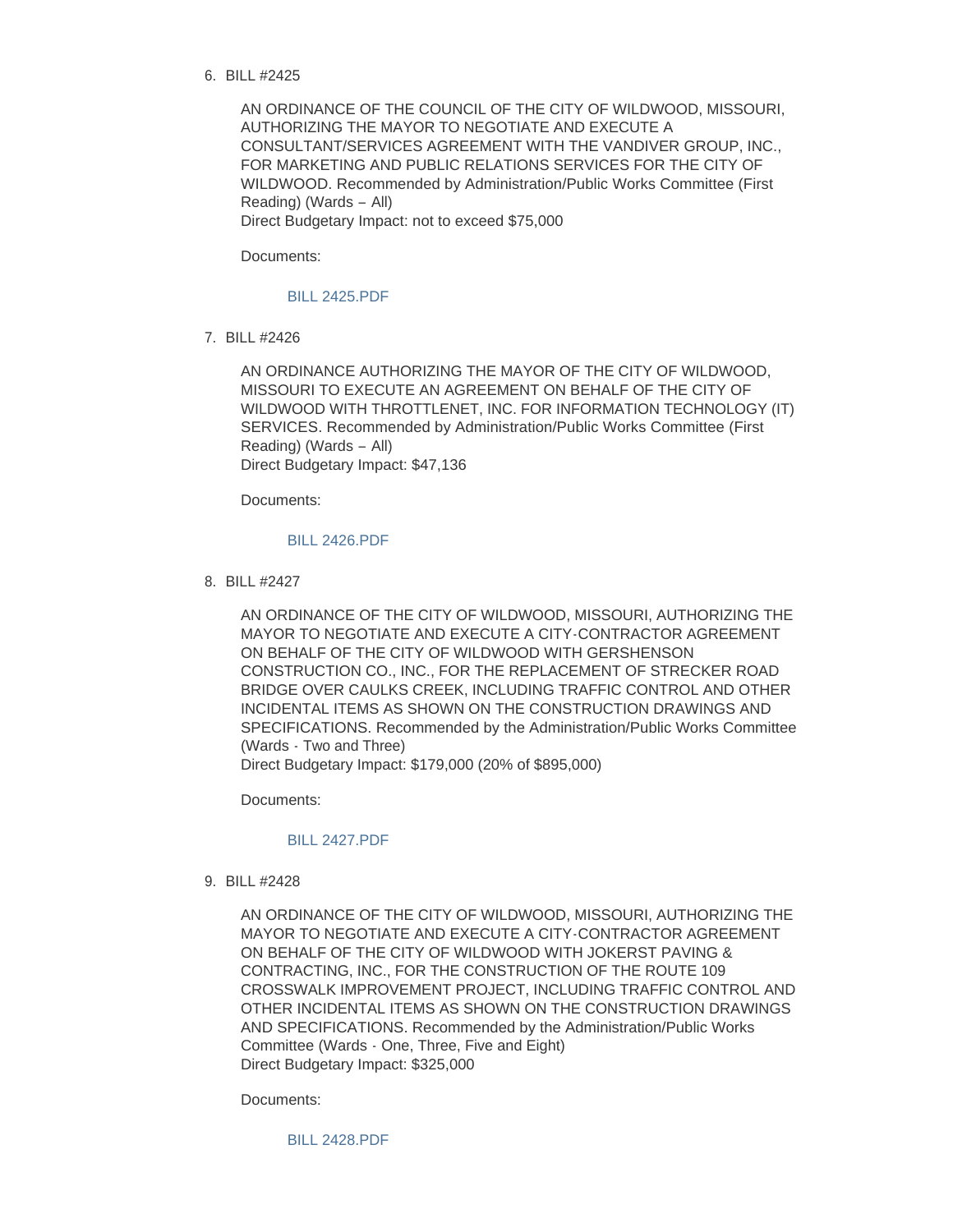BILL #2425 6.

AN ORDINANCE OF THE COUNCIL OF THE CITY OF WILDWOOD, MISSOURI, AUTHORIZING THE MAYOR TO NEGOTIATE AND EXECUTE A CONSULTANT/SERVICES AGREEMENT WITH THE VANDIVER GROUP, INC., FOR MARKETING AND PUBLIC RELATIONS SERVICES FOR THE CITY OF WILDWOOD. Recommended by Administration/Public Works Committee (First Reading) (Wards – All) Direct Budgetary Impact: not to exceed \$75,000

Documents:

### [BILL 2425.PDF](https://www.cityofwildwood.com/AgendaCenter/ViewFile/Item/18217?fileID=25139)

BILL #2426 7.

AN ORDINANCE AUTHORIZING THE MAYOR OF THE CITY OF WILDWOOD, MISSOURI TO EXECUTE AN AGREEMENT ON BEHALF OF THE CITY OF WILDWOOD WITH THROTTLENET, INC. FOR INFORMATION TECHNOLOGY (IT) SERVICES. Recommended by Administration/Public Works Committee (First Reading) (Wards – All) Direct Budgetary Impact: \$47,136

Documents:

# [BILL 2426.PDF](https://www.cityofwildwood.com/AgendaCenter/ViewFile/Item/18218?fileID=25140)

BILL #2427 8.

AN ORDINANCE OF THE CITY OF WILDWOOD, MISSOURI, AUTHORIZING THE MAYOR TO NEGOTIATE AND EXECUTE A CITY-CONTRACTOR AGREEMENT ON BEHALF OF THE CITY OF WILDWOOD WITH GERSHENSON CONSTRUCTION CO., INC., FOR THE REPLACEMENT OF STRECKER ROAD BRIDGE OVER CAULKS CREEK, INCLUDING TRAFFIC CONTROL AND OTHER INCIDENTAL ITEMS AS SHOWN ON THE CONSTRUCTION DRAWINGS AND SPECIFICATIONS. Recommended by the Administration/Public Works Committee (Wards - Two and Three)

Direct Budgetary Impact: \$179,000 (20% of \$895,000)

Documents:

# [BILL 2427.PDF](https://www.cityofwildwood.com/AgendaCenter/ViewFile/Item/18219?fileID=25154)

BILL #2428 9.

AN ORDINANCE OF THE CITY OF WILDWOOD, MISSOURI, AUTHORIZING THE MAYOR TO NEGOTIATE AND EXECUTE A CITY-CONTRACTOR AGREEMENT ON BEHALF OF THE CITY OF WILDWOOD WITH JOKERST PAVING & CONTRACTING, INC., FOR THE CONSTRUCTION OF THE ROUTE 109 CROSSWALK IMPROVEMENT PROJECT, INCLUDING TRAFFIC CONTROL AND OTHER INCIDENTAL ITEMS AS SHOWN ON THE CONSTRUCTION DRAWINGS AND SPECIFICATIONS. Recommended by the Administration/Public Works Committee (Wards - One, Three, Five and Eight) Direct Budgetary Impact: \$325,000

Documents:

[BILL 2428.PDF](https://www.cityofwildwood.com/AgendaCenter/ViewFile/Item/18220?fileID=25155)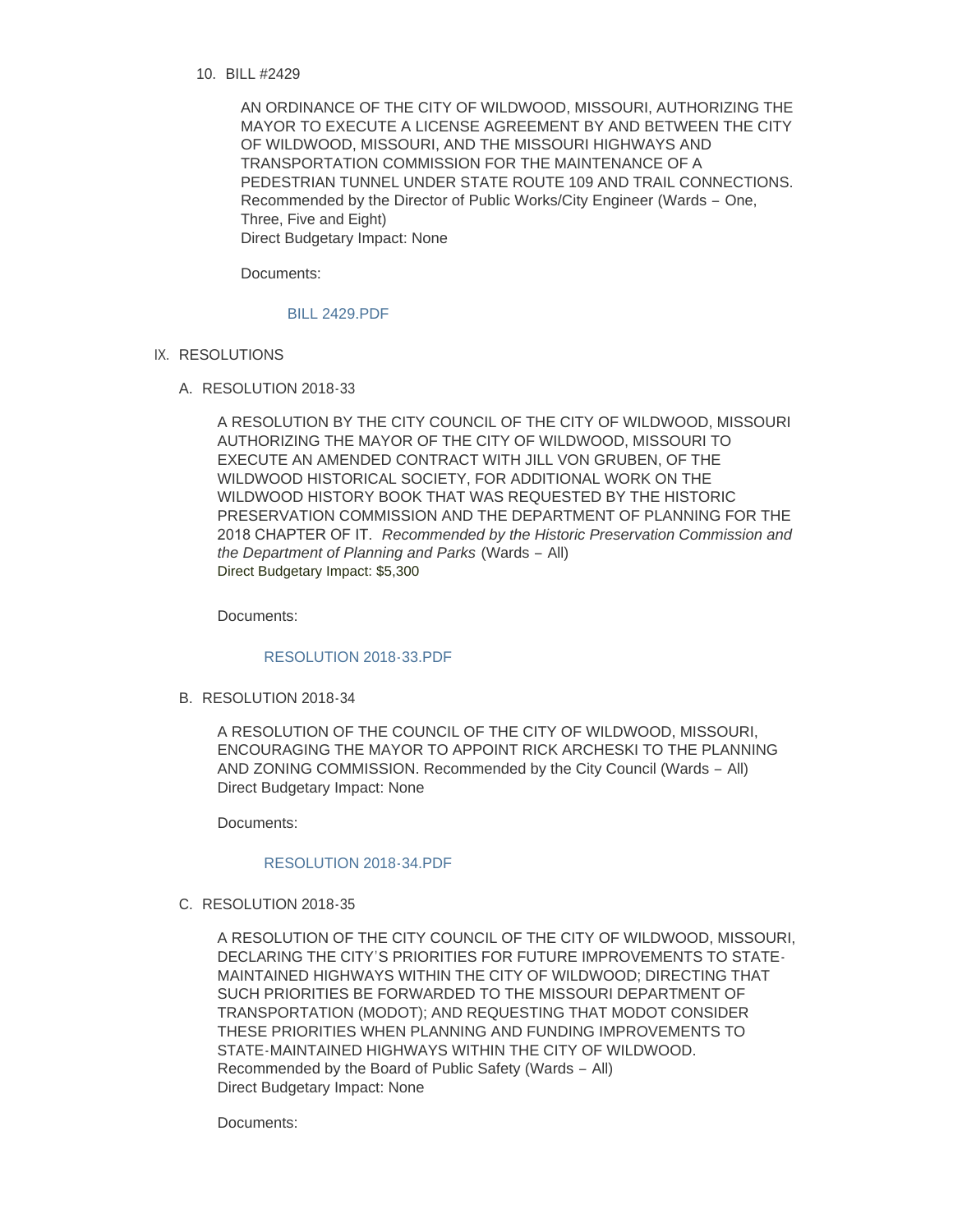BILL #2429 10.

AN ORDINANCE OF THE CITY OF WILDWOOD, MISSOURI, AUTHORIZING THE MAYOR TO EXECUTE A LICENSE AGREEMENT BY AND BETWEEN THE CITY OF WILDWOOD, MISSOURI, AND THE MISSOURI HIGHWAYS AND TRANSPORTATION COMMISSION FOR THE MAINTENANCE OF A PEDESTRIAN TUNNEL UNDER STATE ROUTE 109 AND TRAIL CONNECTIONS. Recommended by the Director of Public Works/City Engineer (Wards – One, Three, Five and Eight) Direct Budgetary Impact: None

Documents:

## [BILL 2429.PDF](https://www.cityofwildwood.com/AgendaCenter/ViewFile/Item/18221?fileID=25156)

- IX. RESOLUTIONS
	- RESOLUTION 2018-33 A.

A RESOLUTION BY THE CITY COUNCIL OF THE CITY OF WILDWOOD, MISSOURI AUTHORIZING THE MAYOR OF THE CITY OF WILDWOOD, MISSOURI TO EXECUTE AN AMENDED CONTRACT WITH JILL VON GRUBEN, OF THE WILDWOOD HISTORICAL SOCIETY, FOR ADDITIONAL WORK ON THE WILDWOOD HISTORY BOOK THAT WAS REQUESTED BY THE HISTORIC PRESERVATION COMMISSION AND THE DEPARTMENT OF PLANNING FOR THE 2018 CHAPTER OF IT. *Recommended by the Historic Preservation Commission and the Department of Planning and Parks* (Wards – All) Direct Budgetary Impact: \$5,300

Documents:

### [RESOLUTION 2018-33.PDF](https://www.cityofwildwood.com/AgendaCenter/ViewFile/Item/18307?fileID=25185)

B. RESOLUTION 2018-34

A RESOLUTION OF THE COUNCIL OF THE CITY OF WILDWOOD, MISSOURI, ENCOURAGING THE MAYOR TO APPOINT RICK ARCHESKI TO THE PLANNING AND ZONING COMMISSION. Recommended by the City Council (Wards – All) Direct Budgetary Impact: None

Documents:

## [RESOLUTION 2018-34.PDF](https://www.cityofwildwood.com/AgendaCenter/ViewFile/Item/18224?fileID=25142)

C. RESOLUTION 2018-35

A RESOLUTION OF THE CITY COUNCIL OF THE CITY OF WILDWOOD, MISSOURI, DECLARING THE CITY'S PRIORITIES FOR FUTURE IMPROVEMENTS TO STATE-MAINTAINED HIGHWAYS WITHIN THE CITY OF WILDWOOD; DIRECTING THAT SUCH PRIORITIES BE FORWARDED TO THE MISSOURI DEPARTMENT OF TRANSPORTATION (MODOT); AND REQUESTING THAT MODOT CONSIDER THESE PRIORITIES WHEN PLANNING AND FUNDING IMPROVEMENTS TO STATE-MAINTAINED HIGHWAYS WITHIN THE CITY OF WILDWOOD. Recommended by the Board of Public Safety (Wards – All) Direct Budgetary Impact: None

Documents: